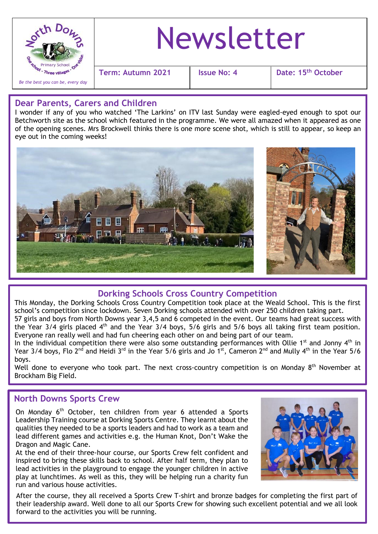

# Newsletter

**Term: Autumn 2021 Issue No: 4 Date: 15th October**

### **Dear Parents, Carers and Children**

I wonder if any of you who watched 'The Larkins' on ITV last Sunday were eagled-eyed enough to spot our Betchworth site as the school which featured in the programme. We were all amazed when it appeared as one of the opening scenes. Mrs Brockwell thinks there is one more scene shot, which is still to appear, so keep an eye out in the coming weeks!



# **Dorking Schools Cross Country Competition**

This Monday, the Dorking Schools Cross Country Competition took place at the Weald School. This is the first school's competition since lockdown. Seven Dorking schools attended with over 250 children taking part.

57 girls and boys from North Downs year 3,4,5 and 6 competed in the event. Our teams had great success with the Year 3/4 girls placed 4<sup>th</sup> and the Year 3/4 boys, 5/6 girls and 5/6 boys all taking first team position. Everyone ran really well and had fun cheering each other on and being part of our team.

In the individual competition there were also some outstanding performances with Ollie 1<sup>st</sup> and Jonny  $4<sup>th</sup>$  in Year 3/4 boys, Flo 2<sup>nd</sup> and Heidi 3<sup>rd</sup> in the Year 5/6 girls and Jo 1st, Cameron 2<sup>nd</sup> and Mully 4<sup>th</sup> in the Year 5/6 boys.

Well done to everyone who took part. The next cross-country competition is on Monday  $8<sup>th</sup>$  November at Brockham Big Field.

#### j **North Downs Sports Crew**

On Monday 6<sup>th</sup> October, ten children from year 6 attended a Sports Leadership Training course at Dorking Sports Centre. They learnt about the qualities they needed to be a sports leaders and had to work as a team and lead different games and activities e.g. the Human Knot, Don't Wake the Dragon and Magic Cane.

At the end of their three-hour course, our Sports Crew felt confident and inspired to bring these skills back to school. After half term, they plan to lead activities in the playground to engage the younger children in active play at lunchtimes. As well as this, they will be helping run a charity fun run and various house activities.



After the course, they all received a Sports Crew T-shirt and bronze badges for completing the first part of their leadership award. Well done to all our Sports Crew for showing such excellent potential and we all look forward to the activities you will be running.